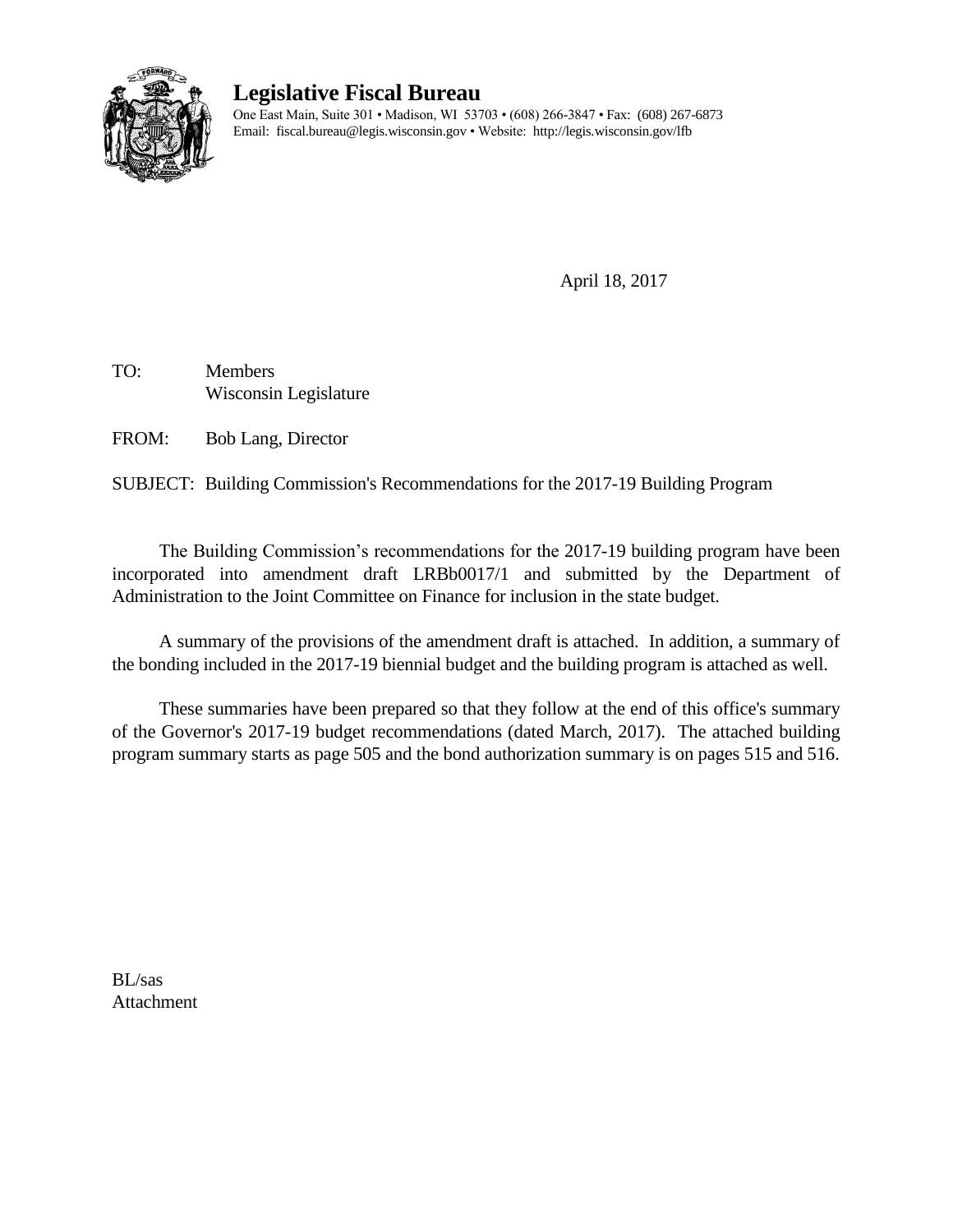

# **Legislative Fiscal Bureau**

One East Main, Suite 301 • Madison, WI 53703 • (608) 266-3847 • Fax: (608) 267-6873 Email: fiscal.bureau@legis.wisconsin.gov • Website:<http://legis.wisconsin.gov/lfb>

April 18, 2017

TO: Members Wisconsin Legislature

FROM: Bob Lang, Director

SUBJECT: Building Commission's Recommendations for the 2017-19 Building Program

The Building Commission's recommendations for the 2017-19 building program have been incorporated into amendment draft LRBb0017/1 and submitted by the Department of Administration to the Joint Committee on Finance for inclusion in the state budget.

A summary of the provisions of the amendment draft is attached. In addition, a summary of the bonding included in the 2017-19 biennial budget and the building program is attached as well.

These summaries have been prepared so that they follow at the end of this office's summary of the Governor's 2017-19 budget recommendations (dated March, 2017). The attached building program summary starts as page 505 and the bond authorization summary is on pages 515 and 516.

BL/sas Attachment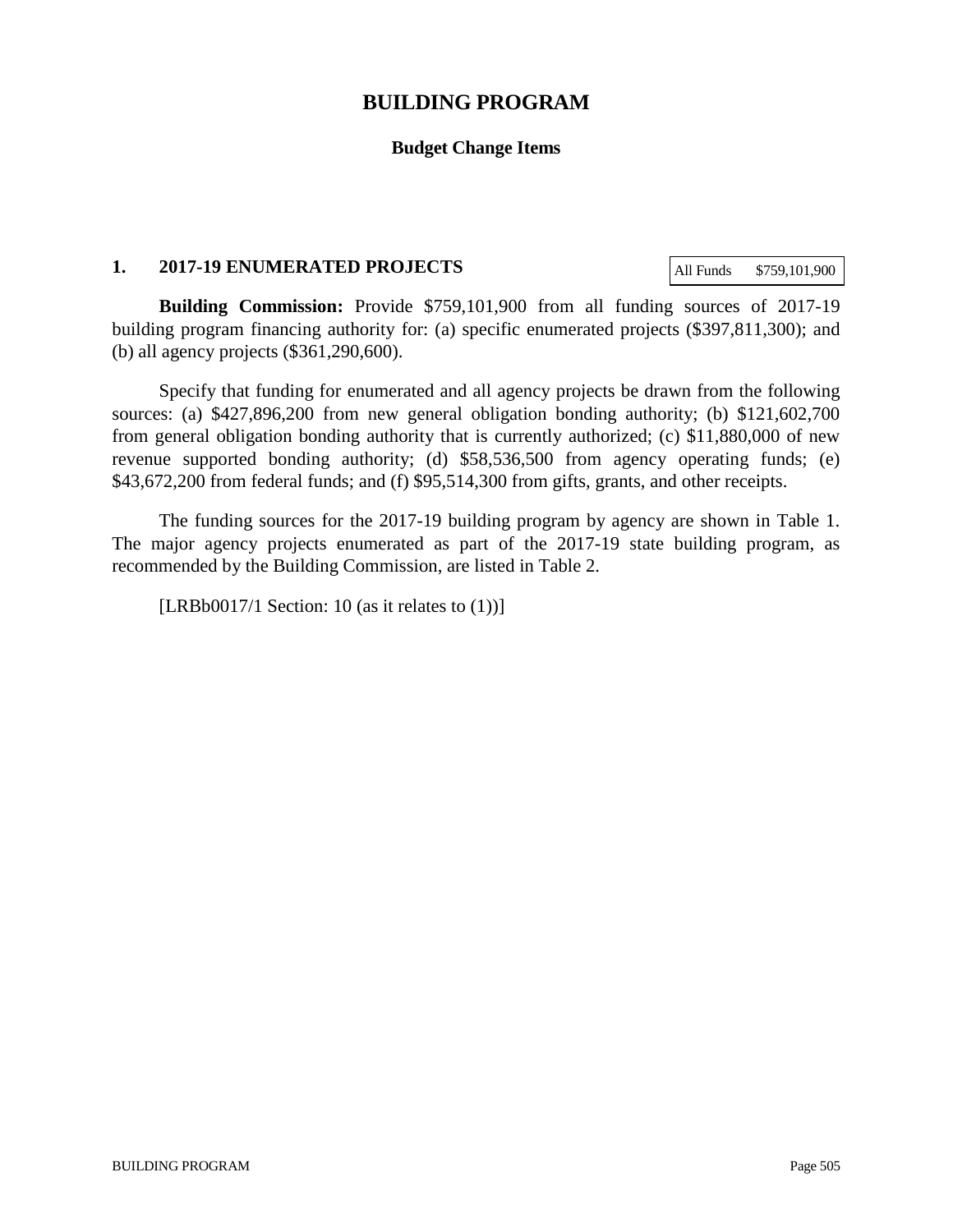# **BUILDING PROGRAM**

### **Budget Change Items**

#### **1. 2017-19 ENUMERATED PROJECTS**

All Funds \$759,101,900

**Building Commission:** Provide \$759,101,900 from all funding sources of 2017-19 building program financing authority for: (a) specific enumerated projects (\$397,811,300); and (b) all agency projects (\$361,290,600).

Specify that funding for enumerated and all agency projects be drawn from the following sources: (a) \$427,896,200 from new general obligation bonding authority; (b) \$121,602,700 from general obligation bonding authority that is currently authorized; (c) \$11,880,000 of new revenue supported bonding authority; (d) \$58,536,500 from agency operating funds; (e) \$43,672,200 from federal funds; and (f) \$95,514,300 from gifts, grants, and other receipts.

The funding sources for the 2017-19 building program by agency are shown in Table 1. The major agency projects enumerated as part of the 2017-19 state building program, as recommended by the Building Commission, are listed in Table 2.

[LRBb0017/1 Section: 10 (as it relates to  $(1)$ )]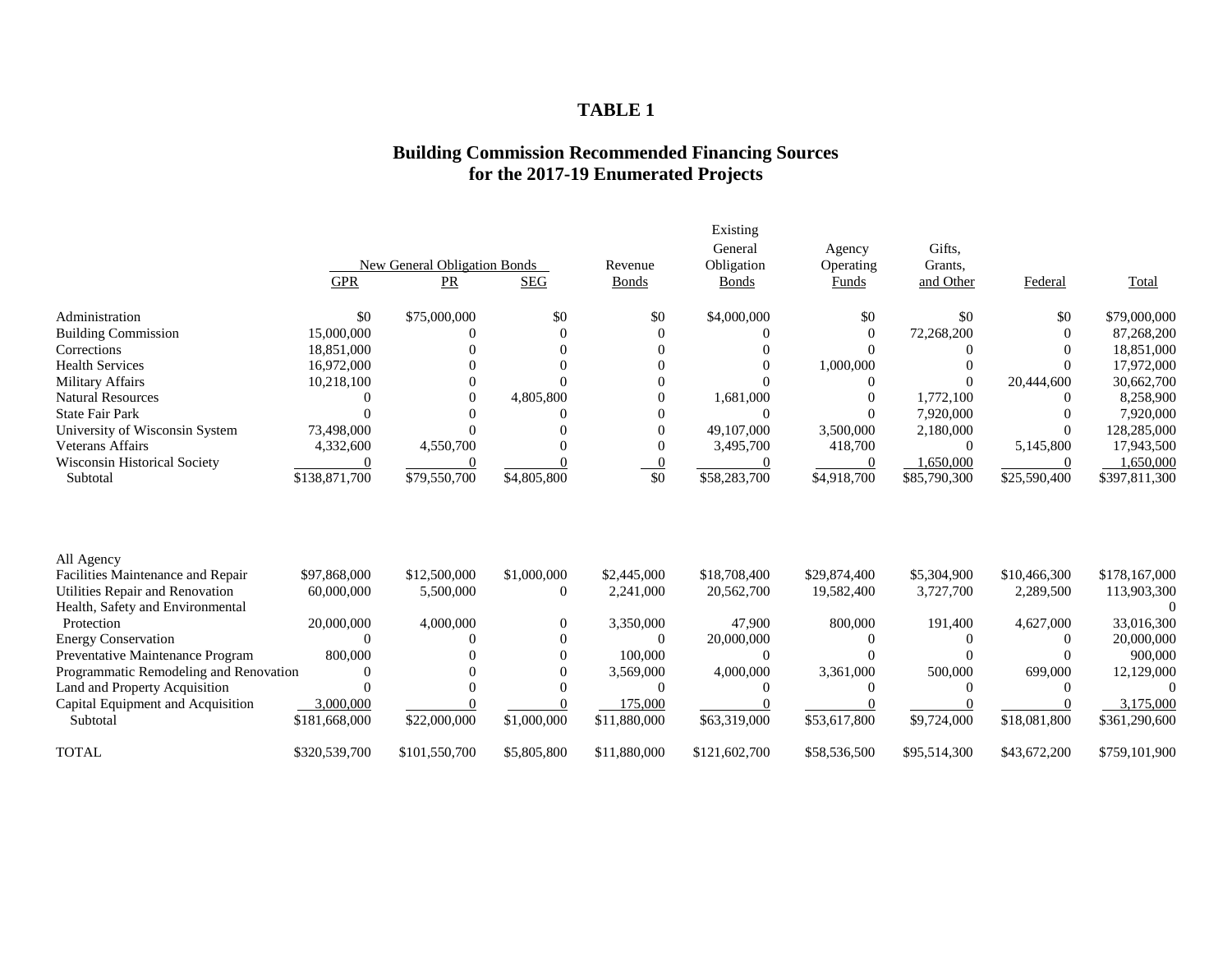# **TABLE 1**

### **Building Commission Recommended Financing Sources for the 2017-19 Enumerated Projects**

| Existing                                                                                                                        |              |              |               |
|---------------------------------------------------------------------------------------------------------------------------------|--------------|--------------|---------------|
| General<br>Agency                                                                                                               | Gifts.       |              |               |
| New General Obligation Bonds<br>Obligation<br>Operating<br>Revenue                                                              | Grants.      |              |               |
| <b>GPR</b><br>PR<br><b>SEG</b><br><b>Bonds</b><br>Funds<br><b>Bonds</b>                                                         | and Other    | Federal      | Total         |
| \$0<br>\$75,000,000<br>\$0<br>\$0<br>\$0<br>Administration<br>\$4,000,000                                                       | \$0          | \$0          | \$79,000,000  |
| 15,000,000<br><b>Building Commission</b><br>$\overline{0}$<br>$\Omega$                                                          | 72,268,200   | $\Omega$     | 87,268,200    |
| 18,851,000<br>Corrections<br>$\Omega$                                                                                           |              |              | 18,851,000    |
| <b>Health Services</b><br>16,972,000<br>1,000,000                                                                               |              |              | 17,972,000    |
| Military Affairs<br>10,218,100<br>$\Omega$                                                                                      |              | 20,444,600   | 30,662,700    |
| <b>Natural Resources</b><br>4,805,800<br>1,681,000<br>$\Omega$<br>$\Omega$<br>$\Omega$                                          | 1,772,100    |              | 8,258,900     |
| <b>State Fair Park</b><br>$\Omega$<br>$\Omega$                                                                                  | 7,920,000    |              | 7,920,000     |
| 73,498,000<br>49,107,000<br>3,500,000<br>University of Wisconsin System                                                         | 2,180,000    |              | 128,285,000   |
| <b>Veterans Affairs</b><br>4,332,600<br>4,550,700<br>3,495,700<br>418,700                                                       | $\Omega$     | 5,145,800    | 17,943,500    |
| <b>Wisconsin Historical Society</b><br>$\mathbf{0}$<br>$\Omega$<br>$\overline{0}$<br>0                                          | 1,650,000    | $\theta$     | .650,000      |
| \$0<br>\$138,871,700<br>\$79,550,700<br>\$4,805,800<br>\$58,283,700<br>\$4,918,700<br>Subtotal                                  | \$85,790,300 | \$25,590,400 | \$397,811,300 |
|                                                                                                                                 |              |              |               |
| All Agency                                                                                                                      |              |              |               |
| Facilities Maintenance and Repair<br>\$97,868,000<br>\$12,500,000<br>\$1,000,000<br>\$2,445,000<br>\$18,708,400<br>\$29,874,400 | \$5,304,900  | \$10,466,300 | \$178,167,000 |
| 60,000,000<br>Utilities Repair and Renovation<br>5,500,000<br>2,241,000<br>20,562,700<br>19,582,400<br>$\Omega$                 | 3,727,700    | 2,289,500    | 113,903,300   |
| Health, Safety and Environmental                                                                                                |              |              |               |
| 4,000,000<br>Protection<br>20,000,000<br>3,350,000<br>47,900<br>800,000<br>$\Omega$                                             | 191,400      | 4,627,000    | 33,016,300    |
| <b>Energy Conservation</b><br>20,000,000<br>$\Omega$<br>$\Omega$<br>$\Omega$<br>$\Omega$                                        |              |              | 20,000,000    |
| Preventative Maintenance Program<br>800,000<br>100,000<br>$\Omega$<br>$\Omega$<br>$\Omega$                                      |              |              | 900,000       |
| Programmatic Remodeling and Renovation<br>4,000,000<br>3,361,000<br>3,569,000<br>$\Omega$                                       | 500,000      | 699,000      | 12,129,000    |
| Land and Property Acquisition<br>$\Omega$<br>$\Omega$<br>0                                                                      |              |              |               |
| 3,000,000<br>175,000<br>Capital Equipment and Acquisition                                                                       |              |              | 3,175,000     |
| \$22,000,000<br>\$1,000,000<br>\$63,319,000<br>\$181,668,000<br>\$11,880,000<br>\$53,617,800<br>Subtotal                        | \$9,724,000  | \$18,081,800 | \$361,290,600 |
| <b>TOTAL</b><br>\$320,539,700<br>\$11,880,000<br>\$101,550,700<br>\$5,805,800<br>\$121,602,700<br>\$58,536,500                  | \$95,514,300 | \$43,672,200 | \$759,101,900 |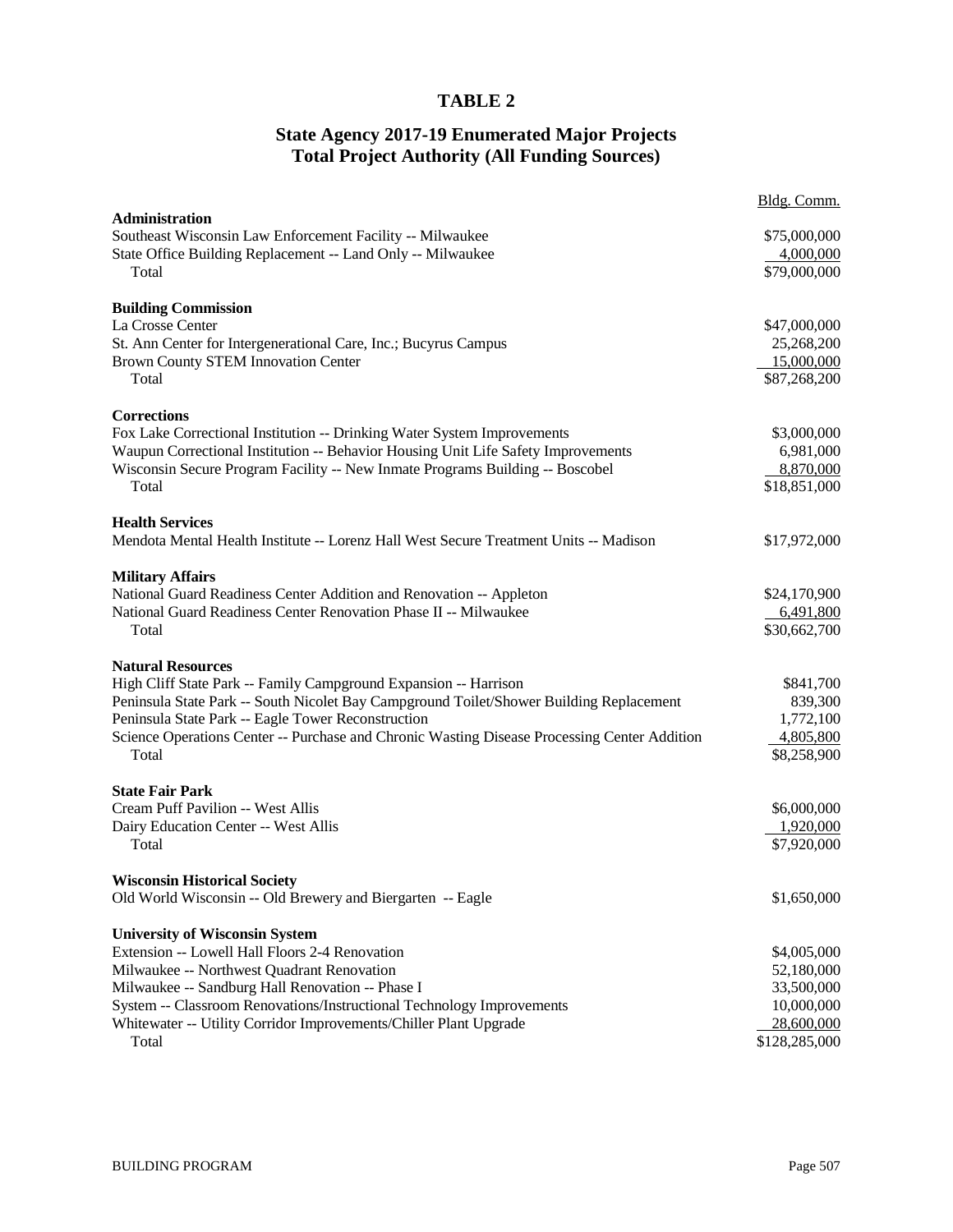# **TABLE 2**

### **State Agency 2017-19 Enumerated Major Projects Total Project Authority (All Funding Sources)**

|                                                                                                                          | Bldg. Comm.               |
|--------------------------------------------------------------------------------------------------------------------------|---------------------------|
| Administration                                                                                                           |                           |
| Southeast Wisconsin Law Enforcement Facility -- Milwaukee<br>State Office Building Replacement -- Land Only -- Milwaukee | \$75,000,000<br>4,000,000 |
| Total                                                                                                                    | \$79,000,000              |
|                                                                                                                          |                           |
| <b>Building Commission</b>                                                                                               |                           |
| La Crosse Center                                                                                                         | \$47,000,000              |
| St. Ann Center for Intergenerational Care, Inc.; Bucyrus Campus                                                          | 25,268,200                |
| <b>Brown County STEM Innovation Center</b>                                                                               | 15,000,000                |
| Total                                                                                                                    | \$87,268,200              |
| <b>Corrections</b>                                                                                                       |                           |
| Fox Lake Correctional Institution -- Drinking Water System Improvements                                                  | \$3,000,000               |
| Waupun Correctional Institution -- Behavior Housing Unit Life Safety Improvements                                        | 6,981,000                 |
| Wisconsin Secure Program Facility -- New Inmate Programs Building -- Boscobel                                            | 8,870,000                 |
| Total                                                                                                                    | \$18,851,000              |
|                                                                                                                          |                           |
| <b>Health Services</b>                                                                                                   |                           |
| Mendota Mental Health Institute -- Lorenz Hall West Secure Treatment Units -- Madison                                    | \$17,972,000              |
|                                                                                                                          |                           |
| <b>Military Affairs</b><br>National Guard Readiness Center Addition and Renovation -- Appleton                           | \$24,170,900              |
| National Guard Readiness Center Renovation Phase II -- Milwaukee                                                         | 6,491,800                 |
| Total                                                                                                                    | \$30,662,700              |
|                                                                                                                          |                           |
| <b>Natural Resources</b>                                                                                                 |                           |
| High Cliff State Park -- Family Campground Expansion -- Harrison                                                         | \$841,700                 |
| Peninsula State Park -- South Nicolet Bay Campground Toilet/Shower Building Replacement                                  | 839,300                   |
| Peninsula State Park -- Eagle Tower Reconstruction                                                                       | 1,772,100                 |
| Science Operations Center -- Purchase and Chronic Wasting Disease Processing Center Addition                             | 4,805,800                 |
| Total                                                                                                                    | \$8,258,900               |
| <b>State Fair Park</b>                                                                                                   |                           |
| Cream Puff Pavilion -- West Allis                                                                                        | \$6,000,000               |
| Dairy Education Center -- West Allis                                                                                     | 1,920,000                 |
| Total                                                                                                                    | \$7,920,000               |
|                                                                                                                          |                           |
| <b>Wisconsin Historical Society</b>                                                                                      |                           |
| Old World Wisconsin -- Old Brewery and Biergarten -- Eagle                                                               | \$1,650,000               |
|                                                                                                                          |                           |
| <b>University of Wisconsin System</b><br>Extension -- Lowell Hall Floors 2-4 Renovation                                  | \$4,005,000               |
| Milwaukee -- Northwest Quadrant Renovation                                                                               | 52,180,000                |
| Milwaukee -- Sandburg Hall Renovation -- Phase I                                                                         | 33,500,000                |
| System -- Classroom Renovations/Instructional Technology Improvements                                                    | 10,000,000                |
| Whitewater -- Utility Corridor Improvements/Chiller Plant Upgrade                                                        | 28,600,000                |
| Total                                                                                                                    | \$128,285,000             |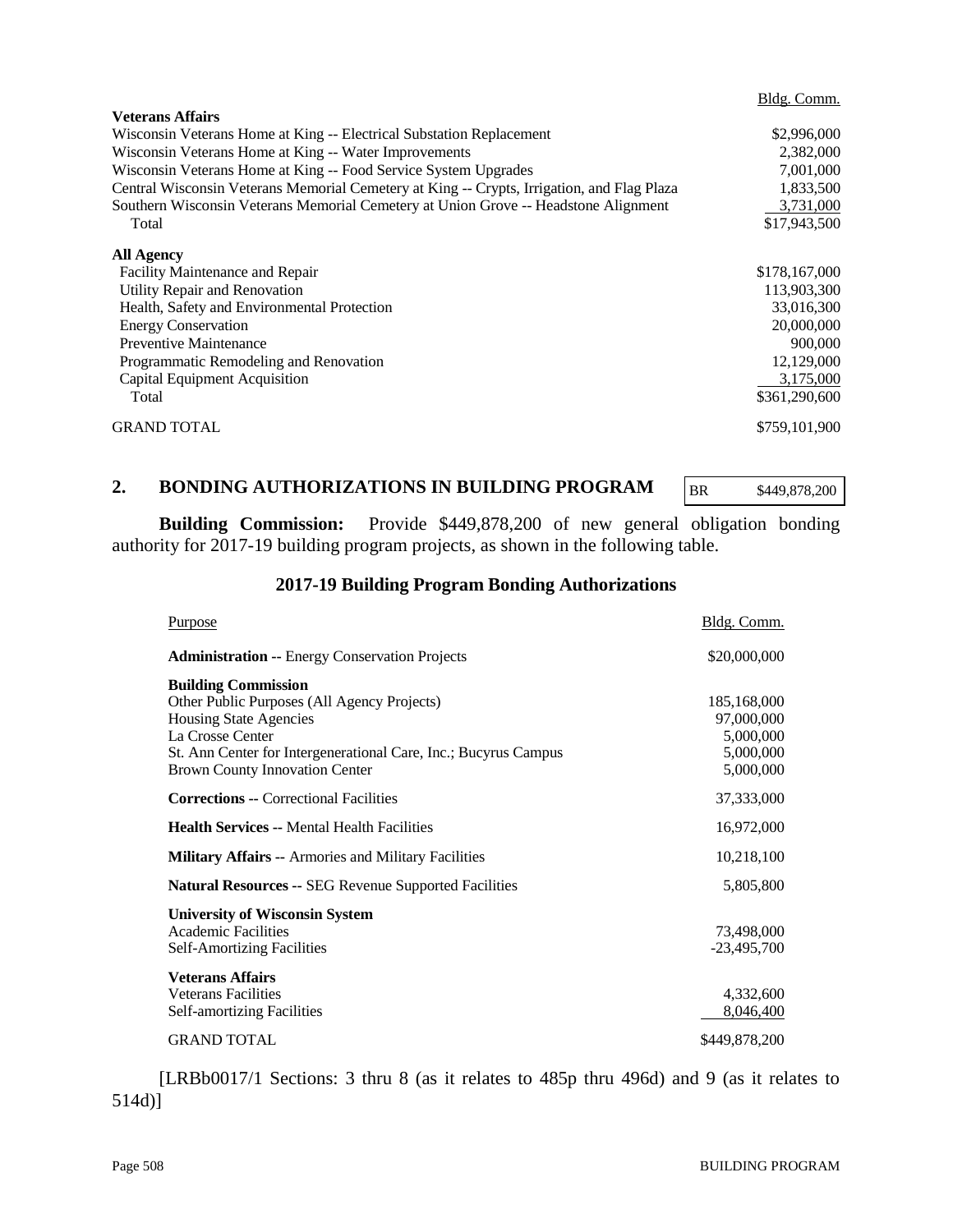|                                                                                            | Bldg. Comm.   |
|--------------------------------------------------------------------------------------------|---------------|
| <b>Veterans Affairs</b>                                                                    |               |
| Wisconsin Veterans Home at King -- Electrical Substation Replacement                       | \$2,996,000   |
| Wisconsin Veterans Home at King -- Water Improvements                                      | 2,382,000     |
| Wisconsin Veterans Home at King -- Food Service System Upgrades                            | 7,001,000     |
| Central Wisconsin Veterans Memorial Cemetery at King -- Crypts, Irrigation, and Flag Plaza | 1,833,500     |
| Southern Wisconsin Veterans Memorial Cemetery at Union Grove -- Headstone Alignment        | 3,731,000     |
| Total                                                                                      | \$17,943,500  |
| <b>All Agency</b>                                                                          |               |
| Facility Maintenance and Repair                                                            | \$178,167,000 |
| Utility Repair and Renovation                                                              | 113,903,300   |
| Health, Safety and Environmental Protection                                                | 33,016,300    |
| <b>Energy Conservation</b>                                                                 | 20,000,000    |
| <b>Preventive Maintenance</b>                                                              | 900,000       |
| Programmatic Remodeling and Renovation                                                     | 12,129,000    |
| Capital Equipment Acquisition                                                              | 3,175,000     |
| Total                                                                                      | \$361,290,600 |
| <b>GRAND TOTAL</b>                                                                         | \$759,101,900 |

#### **2. BONDING AUTHORIZATIONS IN BUILDING PROGRAM**

BR \$449,878,200

**Building Commission:** Provide \$449,878,200 of new general obligation bonding authority for 2017-19 building program projects, as shown in the following table.

# **2017-19 Building Program Bonding Authorizations**

| <b>Purpose</b>                                                                                                                                                                                                                      | Bldg. Comm.                                                      |
|-------------------------------------------------------------------------------------------------------------------------------------------------------------------------------------------------------------------------------------|------------------------------------------------------------------|
| <b>Administration -- Energy Conservation Projects</b>                                                                                                                                                                               | \$20,000,000                                                     |
| <b>Building Commission</b><br>Other Public Purposes (All Agency Projects)<br>Housing State Agencies<br>La Crosse Center<br>St. Ann Center for Intergenerational Care, Inc.; Bucyrus Campus<br><b>Brown County Innovation Center</b> | 185,168,000<br>97,000,000<br>5,000,000<br>5,000,000<br>5,000,000 |
| <b>Corrections -- Correctional Facilities</b>                                                                                                                                                                                       | 37,333,000                                                       |
| <b>Health Services -- Mental Health Facilities</b>                                                                                                                                                                                  | 16,972,000                                                       |
| <b>Military Affairs -- Armories and Military Facilities</b>                                                                                                                                                                         | 10,218,100                                                       |
| <b>Natural Resources -- SEG Revenue Supported Facilities</b>                                                                                                                                                                        | 5,805,800                                                        |
| <b>University of Wisconsin System</b><br><b>Academic Facilities</b><br><b>Self-Amortizing Facilities</b>                                                                                                                            | 73,498,000<br>$-23,495,700$                                      |
| <b>Veterans Affairs</b><br><b>Veterans Facilities</b><br><b>Self-amortizing Facilities</b>                                                                                                                                          | 4,332,600<br>8,046,400                                           |
| <b>GRAND TOTAL</b>                                                                                                                                                                                                                  | \$449,878,200                                                    |

[LRBb0017/1 Sections: 3 thru 8 (as it relates to 485p thru 496d) and 9 (as it relates to 514d)]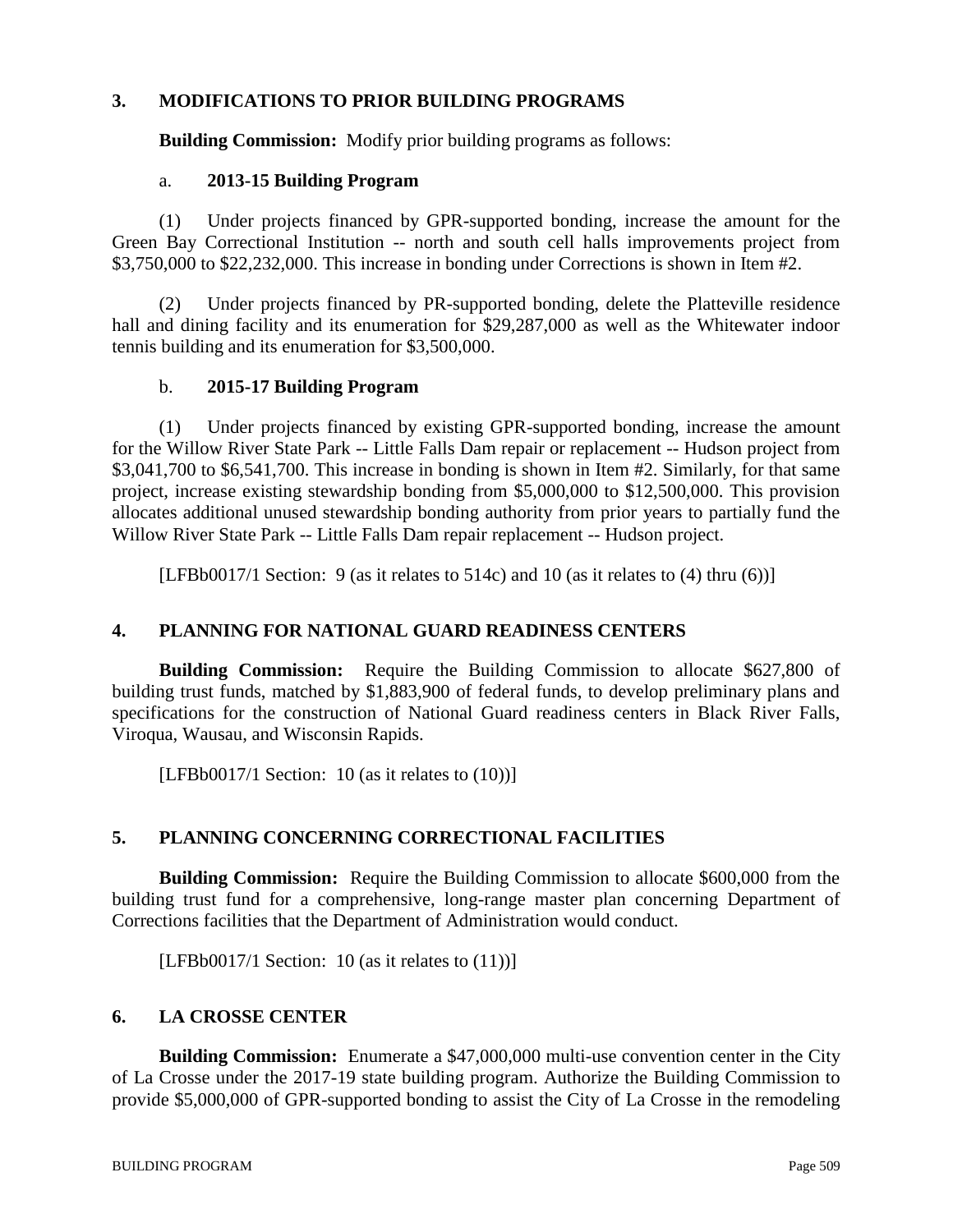# **3. MODIFICATIONS TO PRIOR BUILDING PROGRAMS**

**Building Commission:** Modify prior building programs as follows:

#### a. **2013-15 Building Program**

(1) Under projects financed by GPR-supported bonding, increase the amount for the Green Bay Correctional Institution -- north and south cell halls improvements project from \$3,750,000 to \$22,232,000. This increase in bonding under Corrections is shown in Item #2.

(2) Under projects financed by PR-supported bonding, delete the Platteville residence hall and dining facility and its enumeration for \$29,287,000 as well as the Whitewater indoor tennis building and its enumeration for \$3,500,000.

#### b. **2015-17 Building Program**

(1) Under projects financed by existing GPR-supported bonding, increase the amount for the Willow River State Park -- Little Falls Dam repair or replacement -- Hudson project from \$3,041,700 to \$6,541,700. This increase in bonding is shown in Item #2. Similarly, for that same project, increase existing stewardship bonding from \$5,000,000 to \$12,500,000. This provision allocates additional unused stewardship bonding authority from prior years to partially fund the Willow River State Park -- Little Falls Dam repair replacement -- Hudson project.

[LFBb0017/1 Section: 9 (as it relates to 514c) and 10 (as it relates to (4) thru (6))]

# **4. PLANNING FOR NATIONAL GUARD READINESS CENTERS**

**Building Commission:** Require the Building Commission to allocate \$627,800 of building trust funds, matched by \$1,883,900 of federal funds, to develop preliminary plans and specifications for the construction of National Guard readiness centers in Black River Falls, Viroqua, Wausau, and Wisconsin Rapids.

[LFBb0017/1 Section: 10 (as it relates to  $(10)$ )]

# **5. PLANNING CONCERNING CORRECTIONAL FACILITIES**

**Building Commission:** Require the Building Commission to allocate \$600,000 from the building trust fund for a comprehensive, long-range master plan concerning Department of Corrections facilities that the Department of Administration would conduct.

[LFBb0017/1 Section: 10 (as it relates to  $(11)$ )]

# **6. LA CROSSE CENTER**

**Building Commission:** Enumerate a \$47,000,000 multi-use convention center in the City of La Crosse under the 2017-19 state building program. Authorize the Building Commission to provide \$5,000,000 of GPR-supported bonding to assist the City of La Crosse in the remodeling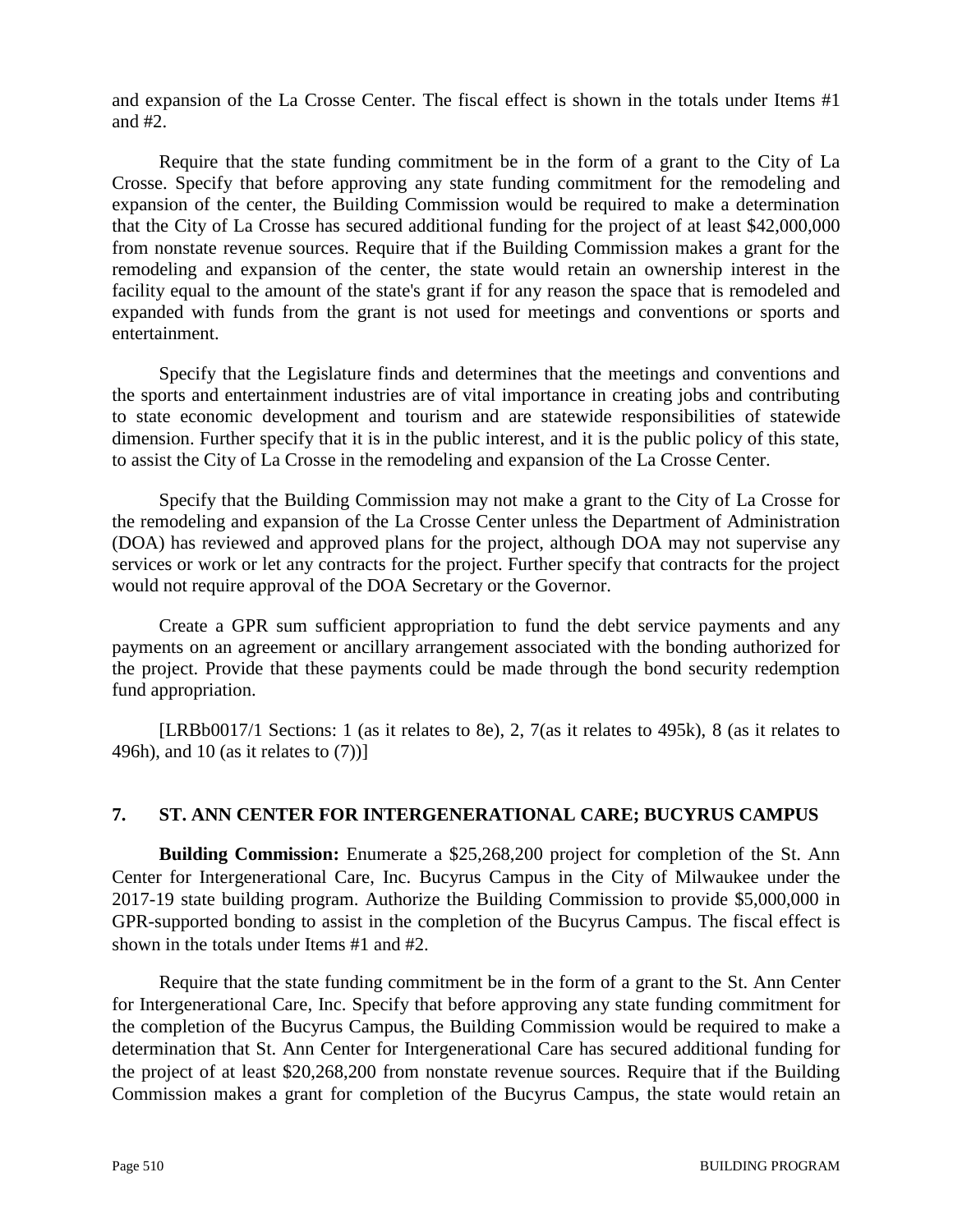and expansion of the La Crosse Center. The fiscal effect is shown in the totals under Items #1 and #2.

Require that the state funding commitment be in the form of a grant to the City of La Crosse. Specify that before approving any state funding commitment for the remodeling and expansion of the center, the Building Commission would be required to make a determination that the City of La Crosse has secured additional funding for the project of at least \$42,000,000 from nonstate revenue sources. Require that if the Building Commission makes a grant for the remodeling and expansion of the center, the state would retain an ownership interest in the facility equal to the amount of the state's grant if for any reason the space that is remodeled and expanded with funds from the grant is not used for meetings and conventions or sports and entertainment.

Specify that the Legislature finds and determines that the meetings and conventions and the sports and entertainment industries are of vital importance in creating jobs and contributing to state economic development and tourism and are statewide responsibilities of statewide dimension. Further specify that it is in the public interest, and it is the public policy of this state, to assist the City of La Crosse in the remodeling and expansion of the La Crosse Center.

Specify that the Building Commission may not make a grant to the City of La Crosse for the remodeling and expansion of the La Crosse Center unless the Department of Administration (DOA) has reviewed and approved plans for the project, although DOA may not supervise any services or work or let any contracts for the project. Further specify that contracts for the project would not require approval of the DOA Secretary or the Governor.

Create a GPR sum sufficient appropriation to fund the debt service payments and any payments on an agreement or ancillary arrangement associated with the bonding authorized for the project. Provide that these payments could be made through the bond security redemption fund appropriation.

[LRBb0017/1 Sections: 1 (as it relates to 8e), 2, 7(as it relates to 495k), 8 (as it relates to 496h), and 10 (as it relates to (7))]

# **7. ST. ANN CENTER FOR INTERGENERATIONAL CARE; BUCYRUS CAMPUS**

**Building Commission:** Enumerate a \$25,268,200 project for completion of the St. Ann Center for Intergenerational Care, Inc. Bucyrus Campus in the City of Milwaukee under the 2017-19 state building program. Authorize the Building Commission to provide \$5,000,000 in GPR-supported bonding to assist in the completion of the Bucyrus Campus. The fiscal effect is shown in the totals under Items #1 and #2.

Require that the state funding commitment be in the form of a grant to the St. Ann Center for Intergenerational Care, Inc. Specify that before approving any state funding commitment for the completion of the Bucyrus Campus, the Building Commission would be required to make a determination that St. Ann Center for Intergenerational Care has secured additional funding for the project of at least \$20,268,200 from nonstate revenue sources. Require that if the Building Commission makes a grant for completion of the Bucyrus Campus, the state would retain an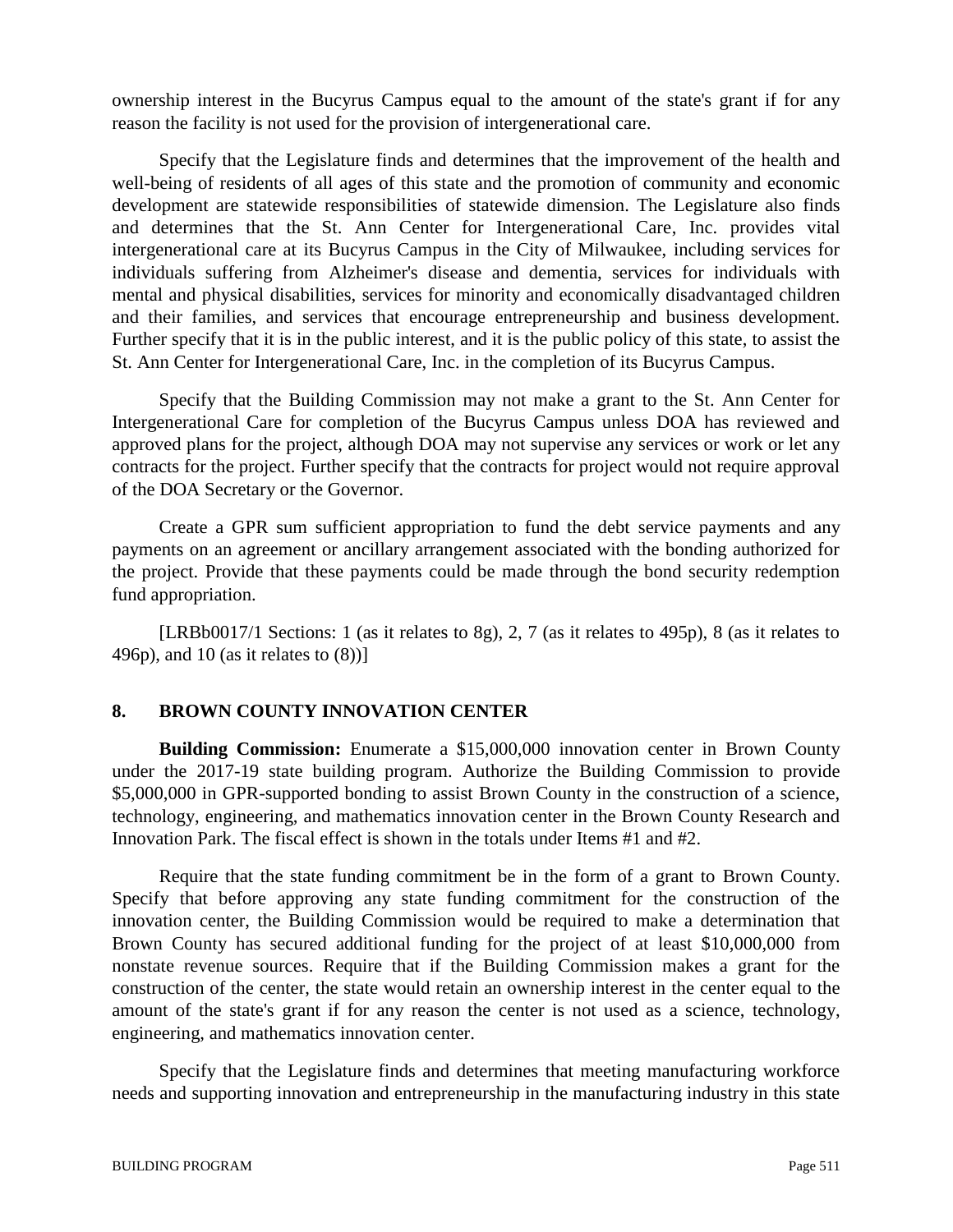ownership interest in the Bucyrus Campus equal to the amount of the state's grant if for any reason the facility is not used for the provision of intergenerational care.

Specify that the Legislature finds and determines that the improvement of the health and well-being of residents of all ages of this state and the promotion of community and economic development are statewide responsibilities of statewide dimension. The Legislature also finds and determines that the St. Ann Center for Intergenerational Care, Inc. provides vital intergenerational care at its Bucyrus Campus in the City of Milwaukee, including services for individuals suffering from Alzheimer's disease and dementia, services for individuals with mental and physical disabilities, services for minority and economically disadvantaged children and their families, and services that encourage entrepreneurship and business development. Further specify that it is in the public interest, and it is the public policy of this state, to assist the St. Ann Center for Intergenerational Care, Inc. in the completion of its Bucyrus Campus.

Specify that the Building Commission may not make a grant to the St. Ann Center for Intergenerational Care for completion of the Bucyrus Campus unless DOA has reviewed and approved plans for the project, although DOA may not supervise any services or work or let any contracts for the project. Further specify that the contracts for project would not require approval of the DOA Secretary or the Governor.

Create a GPR sum sufficient appropriation to fund the debt service payments and any payments on an agreement or ancillary arrangement associated with the bonding authorized for the project. Provide that these payments could be made through the bond security redemption fund appropriation.

[LRBb0017/1 Sections: 1 (as it relates to 8g), 2, 7 (as it relates to 495p), 8 (as it relates to 496p), and 10 (as it relates to (8))]

# **8. BROWN COUNTY INNOVATION CENTER**

**Building Commission:** Enumerate a \$15,000,000 innovation center in Brown County under the 2017-19 state building program. Authorize the Building Commission to provide \$5,000,000 in GPR-supported bonding to assist Brown County in the construction of a science, technology, engineering, and mathematics innovation center in the Brown County Research and Innovation Park. The fiscal effect is shown in the totals under Items #1 and #2.

Require that the state funding commitment be in the form of a grant to Brown County. Specify that before approving any state funding commitment for the construction of the innovation center, the Building Commission would be required to make a determination that Brown County has secured additional funding for the project of at least \$10,000,000 from nonstate revenue sources. Require that if the Building Commission makes a grant for the construction of the center, the state would retain an ownership interest in the center equal to the amount of the state's grant if for any reason the center is not used as a science, technology, engineering, and mathematics innovation center.

Specify that the Legislature finds and determines that meeting manufacturing workforce needs and supporting innovation and entrepreneurship in the manufacturing industry in this state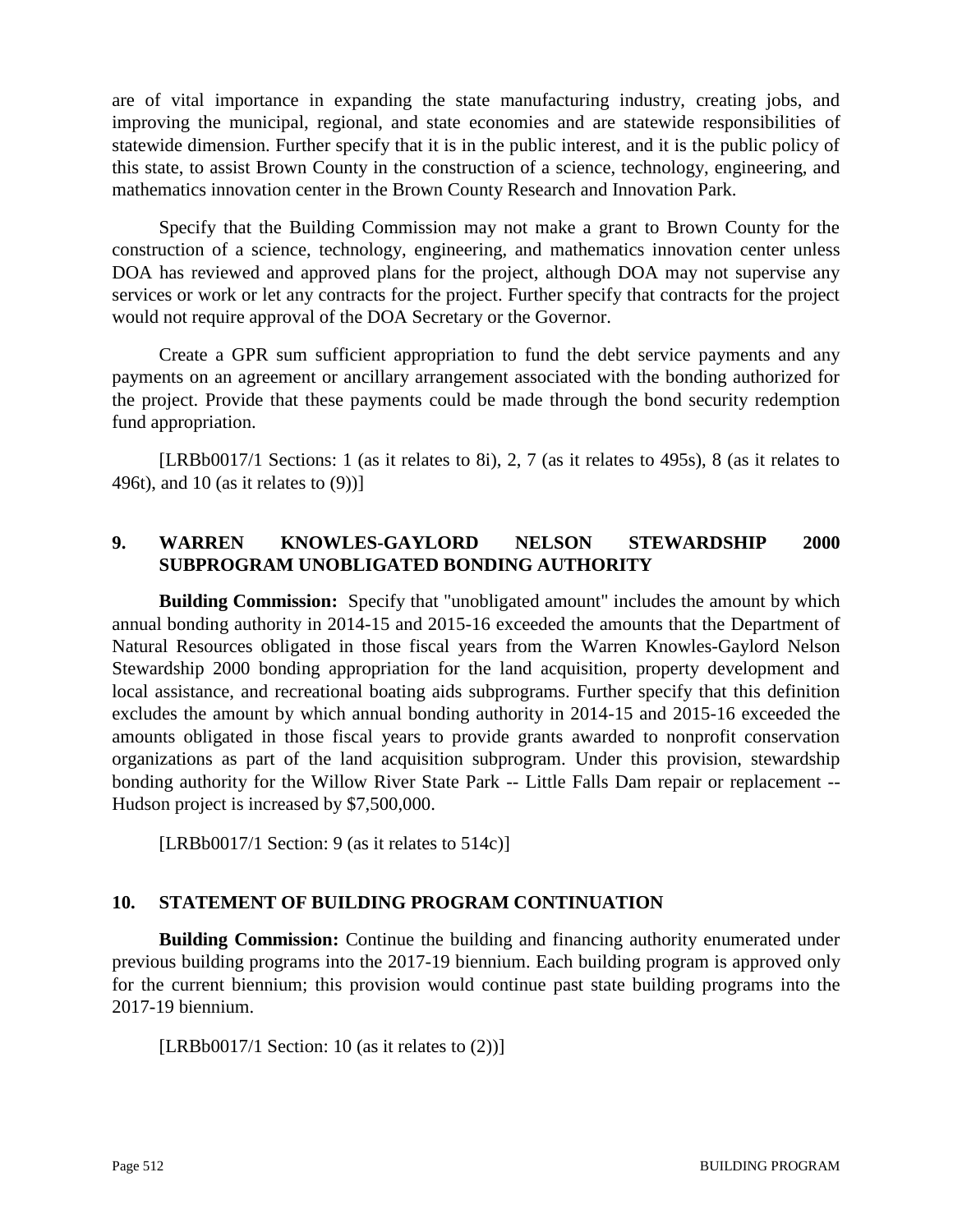are of vital importance in expanding the state manufacturing industry, creating jobs, and improving the municipal, regional, and state economies and are statewide responsibilities of statewide dimension. Further specify that it is in the public interest, and it is the public policy of this state, to assist Brown County in the construction of a science, technology, engineering, and mathematics innovation center in the Brown County Research and Innovation Park.

Specify that the Building Commission may not make a grant to Brown County for the construction of a science, technology, engineering, and mathematics innovation center unless DOA has reviewed and approved plans for the project, although DOA may not supervise any services or work or let any contracts for the project. Further specify that contracts for the project would not require approval of the DOA Secretary or the Governor.

Create a GPR sum sufficient appropriation to fund the debt service payments and any payments on an agreement or ancillary arrangement associated with the bonding authorized for the project. Provide that these payments could be made through the bond security redemption fund appropriation.

[LRBb0017/1 Sections: 1 (as it relates to 8i), 2, 7 (as it relates to 495s), 8 (as it relates to 496t), and 10 (as it relates to (9))]

# **9. WARREN KNOWLES-GAYLORD NELSON STEWARDSHIP 2000 SUBPROGRAM UNOBLIGATED BONDING AUTHORITY**

**Building Commission:** Specify that "unobligated amount" includes the amount by which annual bonding authority in 2014-15 and 2015-16 exceeded the amounts that the Department of Natural Resources obligated in those fiscal years from the Warren Knowles-Gaylord Nelson Stewardship 2000 bonding appropriation for the land acquisition, property development and local assistance, and recreational boating aids subprograms. Further specify that this definition excludes the amount by which annual bonding authority in 2014-15 and 2015-16 exceeded the amounts obligated in those fiscal years to provide grants awarded to nonprofit conservation organizations as part of the land acquisition subprogram. Under this provision, stewardship bonding authority for the Willow River State Park -- Little Falls Dam repair or replacement -- Hudson project is increased by \$7,500,000.

[LRBb0017/1 Section: 9 (as it relates to 514c)]

# **10. STATEMENT OF BUILDING PROGRAM CONTINUATION**

**Building Commission:** Continue the building and financing authority enumerated under previous building programs into the 2017-19 biennium. Each building program is approved only for the current biennium; this provision would continue past state building programs into the 2017-19 biennium.

[LRBb0017/1 Section: 10 (as it relates to  $(2)$ ]]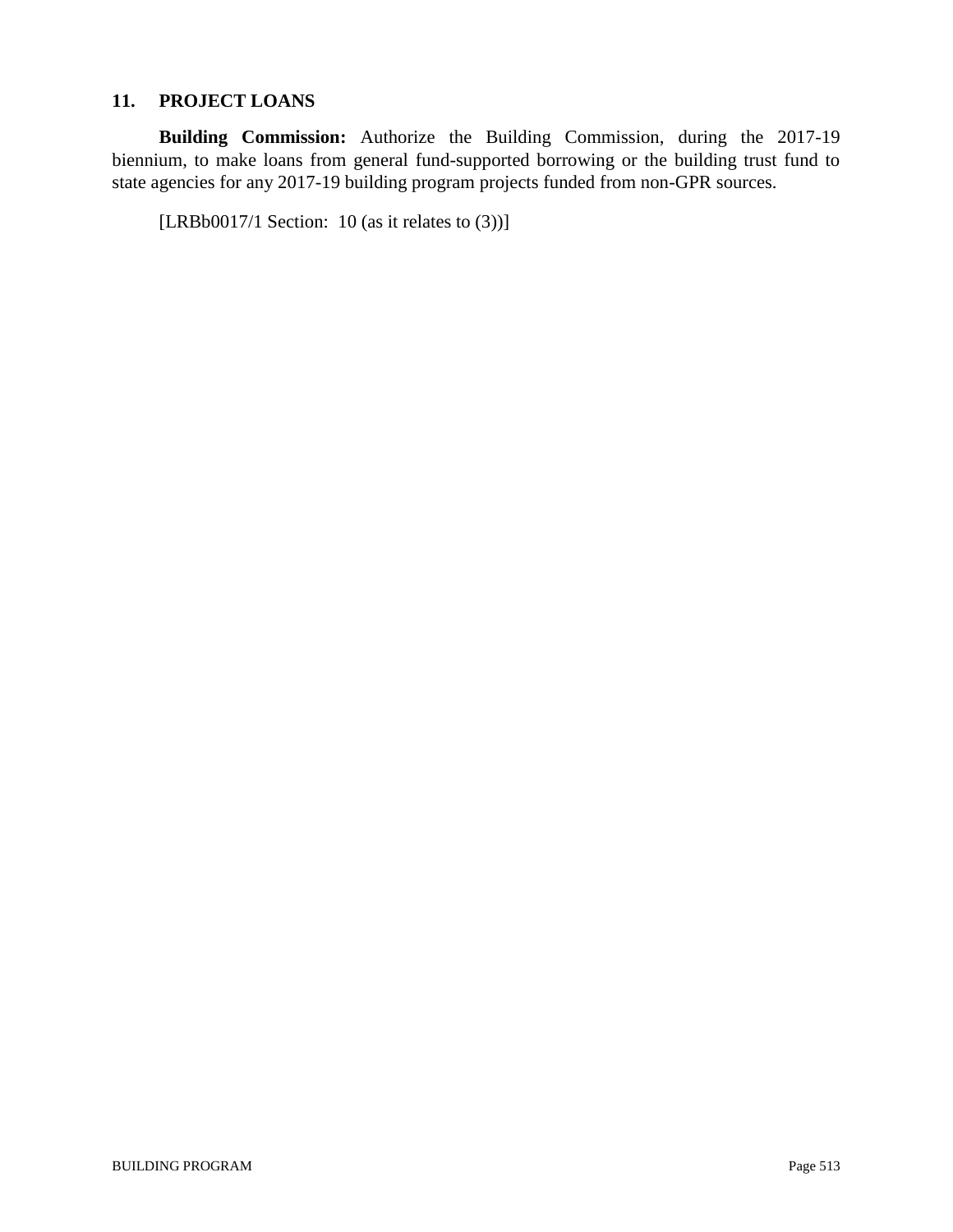# **11. PROJECT LOANS**

**Building Commission:** Authorize the Building Commission, during the 2017-19 biennium, to make loans from general fund-supported borrowing or the building trust fund to state agencies for any 2017-19 building program projects funded from non-GPR sources.

[LRBb0017/1 Section: 10 (as it relates to  $(3)$ )]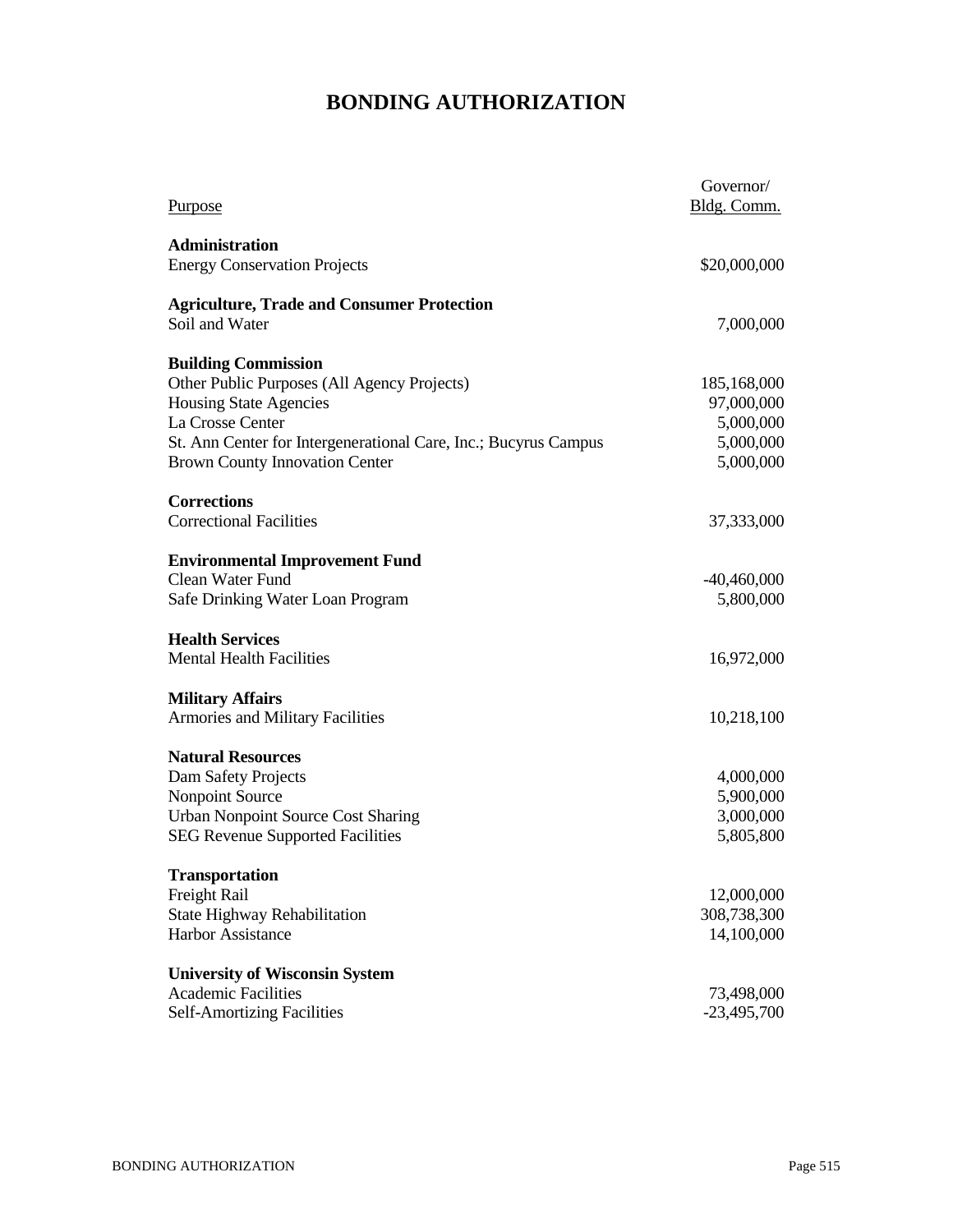# **BONDING AUTHORIZATION**

| \$20,000,000<br>Soil and Water<br>7,000,000<br>Other Public Purposes (All Agency Projects)<br>185,168,000<br><b>Housing State Agencies</b><br>97,000,000<br>La Crosse Center<br>5,000,000<br>5,000,000<br>St. Ann Center for Intergenerational Care, Inc.; Bucyrus Campus<br><b>Brown County Innovation Center</b><br>5,000,000<br>37,333,000<br><b>Environmental Improvement Fund</b><br>$-40,460,000$<br>5,800,000<br><b>Health Services</b><br>16,972,000<br><b>Military Affairs</b><br>10,218,100<br><b>Natural Resources</b><br>Dam Safety Projects<br>4,000,000<br>Nonpoint Source<br>5,900,000<br><b>Urban Nonpoint Source Cost Sharing</b><br>3,000,000<br>5,805,800<br><b>Transportation</b><br>Freight Rail<br>12,000,000<br>State Highway Rehabilitation<br>308,738,300<br>14,100,000<br><b>University of Wisconsin System</b><br><b>Academic Facilities</b><br>73,498,000 | <b>Purpose</b>                                    | Governor/<br>Bldg. Comm. |
|---------------------------------------------------------------------------------------------------------------------------------------------------------------------------------------------------------------------------------------------------------------------------------------------------------------------------------------------------------------------------------------------------------------------------------------------------------------------------------------------------------------------------------------------------------------------------------------------------------------------------------------------------------------------------------------------------------------------------------------------------------------------------------------------------------------------------------------------------------------------------------------|---------------------------------------------------|--------------------------|
|                                                                                                                                                                                                                                                                                                                                                                                                                                                                                                                                                                                                                                                                                                                                                                                                                                                                                       | <b>Administration</b>                             |                          |
|                                                                                                                                                                                                                                                                                                                                                                                                                                                                                                                                                                                                                                                                                                                                                                                                                                                                                       | <b>Energy Conservation Projects</b>               |                          |
|                                                                                                                                                                                                                                                                                                                                                                                                                                                                                                                                                                                                                                                                                                                                                                                                                                                                                       | <b>Agriculture, Trade and Consumer Protection</b> |                          |
|                                                                                                                                                                                                                                                                                                                                                                                                                                                                                                                                                                                                                                                                                                                                                                                                                                                                                       |                                                   |                          |
|                                                                                                                                                                                                                                                                                                                                                                                                                                                                                                                                                                                                                                                                                                                                                                                                                                                                                       | <b>Building Commission</b>                        |                          |
|                                                                                                                                                                                                                                                                                                                                                                                                                                                                                                                                                                                                                                                                                                                                                                                                                                                                                       |                                                   |                          |
|                                                                                                                                                                                                                                                                                                                                                                                                                                                                                                                                                                                                                                                                                                                                                                                                                                                                                       |                                                   |                          |
|                                                                                                                                                                                                                                                                                                                                                                                                                                                                                                                                                                                                                                                                                                                                                                                                                                                                                       |                                                   |                          |
|                                                                                                                                                                                                                                                                                                                                                                                                                                                                                                                                                                                                                                                                                                                                                                                                                                                                                       |                                                   |                          |
|                                                                                                                                                                                                                                                                                                                                                                                                                                                                                                                                                                                                                                                                                                                                                                                                                                                                                       |                                                   |                          |
|                                                                                                                                                                                                                                                                                                                                                                                                                                                                                                                                                                                                                                                                                                                                                                                                                                                                                       | <b>Corrections</b>                                |                          |
|                                                                                                                                                                                                                                                                                                                                                                                                                                                                                                                                                                                                                                                                                                                                                                                                                                                                                       | <b>Correctional Facilities</b>                    |                          |
|                                                                                                                                                                                                                                                                                                                                                                                                                                                                                                                                                                                                                                                                                                                                                                                                                                                                                       |                                                   |                          |
|                                                                                                                                                                                                                                                                                                                                                                                                                                                                                                                                                                                                                                                                                                                                                                                                                                                                                       | Clean Water Fund                                  |                          |
|                                                                                                                                                                                                                                                                                                                                                                                                                                                                                                                                                                                                                                                                                                                                                                                                                                                                                       | Safe Drinking Water Loan Program                  |                          |
|                                                                                                                                                                                                                                                                                                                                                                                                                                                                                                                                                                                                                                                                                                                                                                                                                                                                                       |                                                   |                          |
|                                                                                                                                                                                                                                                                                                                                                                                                                                                                                                                                                                                                                                                                                                                                                                                                                                                                                       | <b>Mental Health Facilities</b>                   |                          |
|                                                                                                                                                                                                                                                                                                                                                                                                                                                                                                                                                                                                                                                                                                                                                                                                                                                                                       |                                                   |                          |
|                                                                                                                                                                                                                                                                                                                                                                                                                                                                                                                                                                                                                                                                                                                                                                                                                                                                                       | Armories and Military Facilities                  |                          |
|                                                                                                                                                                                                                                                                                                                                                                                                                                                                                                                                                                                                                                                                                                                                                                                                                                                                                       |                                                   |                          |
|                                                                                                                                                                                                                                                                                                                                                                                                                                                                                                                                                                                                                                                                                                                                                                                                                                                                                       |                                                   |                          |
|                                                                                                                                                                                                                                                                                                                                                                                                                                                                                                                                                                                                                                                                                                                                                                                                                                                                                       |                                                   |                          |
|                                                                                                                                                                                                                                                                                                                                                                                                                                                                                                                                                                                                                                                                                                                                                                                                                                                                                       |                                                   |                          |
|                                                                                                                                                                                                                                                                                                                                                                                                                                                                                                                                                                                                                                                                                                                                                                                                                                                                                       | <b>SEG Revenue Supported Facilities</b>           |                          |
|                                                                                                                                                                                                                                                                                                                                                                                                                                                                                                                                                                                                                                                                                                                                                                                                                                                                                       |                                                   |                          |
|                                                                                                                                                                                                                                                                                                                                                                                                                                                                                                                                                                                                                                                                                                                                                                                                                                                                                       |                                                   |                          |
|                                                                                                                                                                                                                                                                                                                                                                                                                                                                                                                                                                                                                                                                                                                                                                                                                                                                                       |                                                   |                          |
|                                                                                                                                                                                                                                                                                                                                                                                                                                                                                                                                                                                                                                                                                                                                                                                                                                                                                       | Harbor Assistance                                 |                          |
|                                                                                                                                                                                                                                                                                                                                                                                                                                                                                                                                                                                                                                                                                                                                                                                                                                                                                       |                                                   |                          |
|                                                                                                                                                                                                                                                                                                                                                                                                                                                                                                                                                                                                                                                                                                                                                                                                                                                                                       |                                                   |                          |
|                                                                                                                                                                                                                                                                                                                                                                                                                                                                                                                                                                                                                                                                                                                                                                                                                                                                                       | <b>Self-Amortizing Facilities</b>                 | $-23,495,700$            |